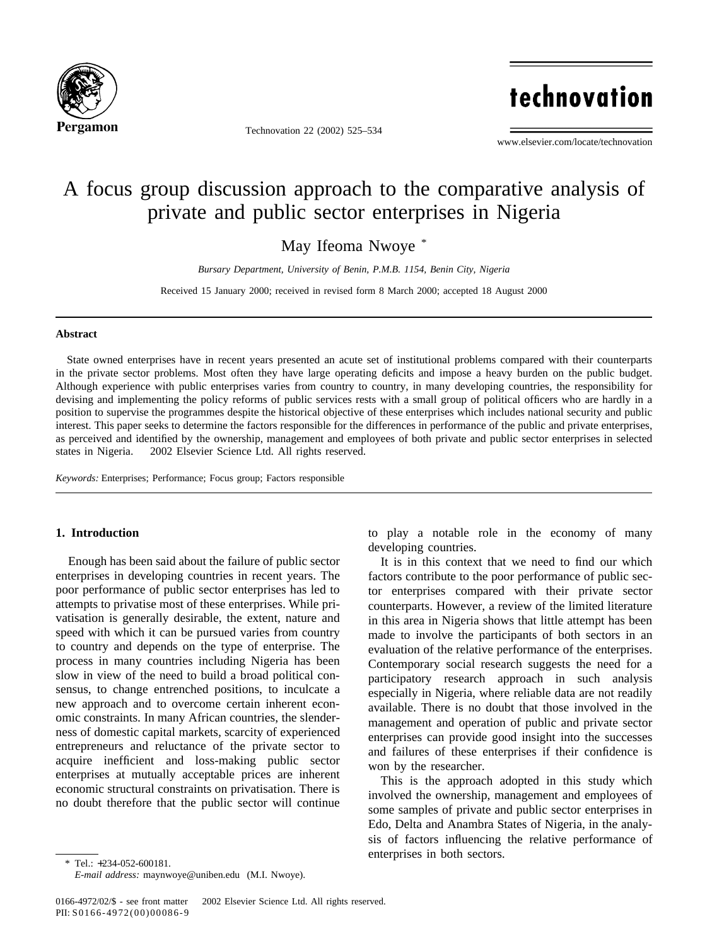

Technovation 22 (2002) 525–534

technovation

www.elsevier.com/locate/technovation

## A focus group discussion approach to the comparative analysis of private and public sector enterprises in Nigeria

May Ifeoma Nwoye \*

*Bursary Department, University of Benin, P.M.B. 1154, Benin City, Nigeria*

Received 15 January 2000; received in revised form 8 March 2000; accepted 18 August 2000

#### **Abstract**

State owned enterprises have in recent years presented an acute set of institutional problems compared with their counterparts in the private sector problems. Most often they have large operating deficits and impose a heavy burden on the public budget. Although experience with public enterprises varies from country to country, in many developing countries, the responsibility for devising and implementing the policy reforms of public services rests with a small group of political officers who are hardly in a position to supervise the programmes despite the historical objective of these enterprises which includes national security and public interest. This paper seeks to determine the factors responsible for the differences in performance of the public and private enterprises, as perceived and identified by the ownership, management and employees of both private and public sector enterprises in selected states in Nigeria. © 2002 Elsevier Science Ltd. All rights reserved.

*Keywords:* Enterprises; Performance; Focus group; Factors responsible

#### **1. Introduction**

Enough has been said about the failure of public sector enterprises in developing countries in recent years. The poor performance of public sector enterprises has led to attempts to privatise most of these enterprises. While privatisation is generally desirable, the extent, nature and speed with which it can be pursued varies from country to country and depends on the type of enterprise. The process in many countries including Nigeria has been slow in view of the need to build a broad political consensus, to change entrenched positions, to inculcate a new approach and to overcome certain inherent economic constraints. In many African countries, the slenderness of domestic capital markets, scarcity of experienced entrepreneurs and reluctance of the private sector to acquire inefficient and loss-making public sector enterprises at mutually acceptable prices are inherent economic structural constraints on privatisation. There is no doubt therefore that the public sector will continue to play a notable role in the economy of many developing countries.

It is in this context that we need to find our which factors contribute to the poor performance of public sector enterprises compared with their private sector counterparts. However, a review of the limited literature in this area in Nigeria shows that little attempt has been made to involve the participants of both sectors in an evaluation of the relative performance of the enterprises. Contemporary social research suggests the need for a participatory research approach in such analysis especially in Nigeria, where reliable data are not readily available. There is no doubt that those involved in the management and operation of public and private sector enterprises can provide good insight into the successes and failures of these enterprises if their confidence is won by the researcher.

This is the approach adopted in this study which involved the ownership, management and employees of some samples of private and public sector enterprises in Edo, Delta and Anambra States of Nigeria, in the analysis of factors influencing the relative performance of enterprises in both sectors.

<sup>\*</sup> Tel.: +234-052-600181. *E-mail address:* maynwoye@uniben.edu (M.I. Nwoye).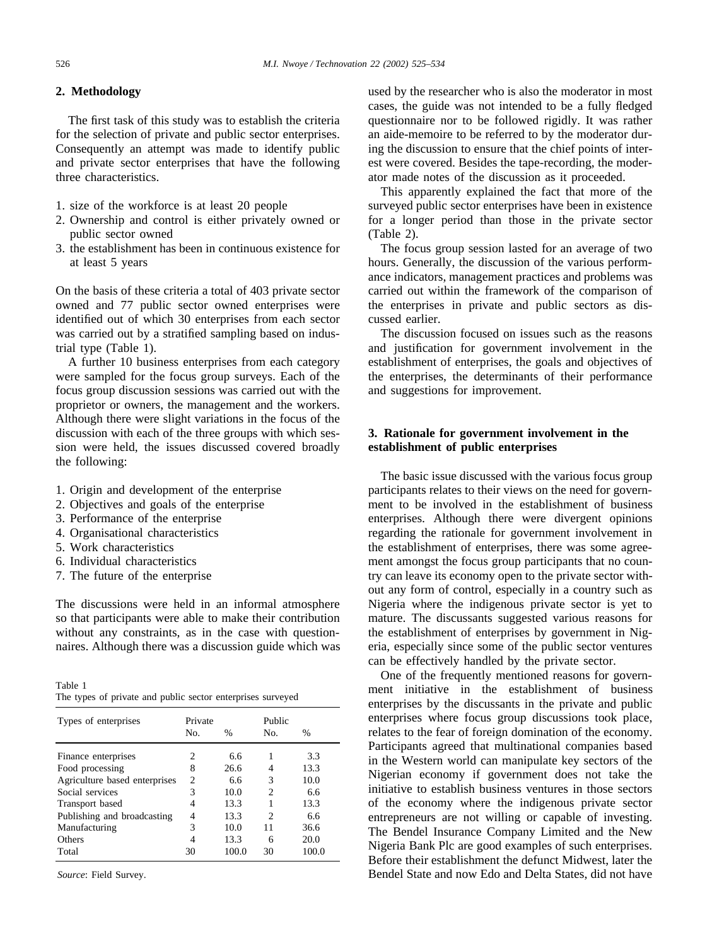#### **2. Methodology**

The first task of this study was to establish the criteria for the selection of private and public sector enterprises. Consequently an attempt was made to identify public and private sector enterprises that have the following three characteristics.

- 1. size of the workforce is at least 20 people
- 2. Ownership and control is either privately owned or public sector owned
- 3. the establishment has been in continuous existence for at least 5 years

On the basis of these criteria a total of 403 private sector owned and 77 public sector owned enterprises were identified out of which 30 enterprises from each sector was carried out by a stratified sampling based on industrial type (Table 1).

A further 10 business enterprises from each category were sampled for the focus group surveys. Each of the focus group discussion sessions was carried out with the proprietor or owners, the management and the workers. Although there were slight variations in the focus of the discussion with each of the three groups with which session were held, the issues discussed covered broadly the following:

- 1. Origin and development of the enterprise
- 2. Objectives and goals of the enterprise
- 3. Performance of the enterprise
- 4. Organisational characteristics
- 5. Work characteristics
- 6. Individual characteristics
- 7. The future of the enterprise

The discussions were held in an informal atmosphere so that participants were able to make their contribution without any constraints, as in the case with questionnaires. Although there was a discussion guide which was

Table 1 The types of private and public sector enterprises surveyed

| Types of enterprises          | Private<br>No. | $\frac{0}{0}$ | Public<br>No.               | %     |
|-------------------------------|----------------|---------------|-----------------------------|-------|
| Finance enterprises           | 2              | 6.6           | 1                           | 3.3   |
| Food processing               | 8              | 26.6          | 4                           | 13.3  |
| Agriculture based enterprises | 2              | 6.6           | 3                           | 10.0  |
| Social services               | 3              | 10.0          | 2                           | 6.6   |
| Transport based               | 4              | 13.3          |                             | 13.3  |
| Publishing and broadcasting   | 4              | 13.3          | $\mathcal{D}_{\mathcal{L}}$ | 6.6   |
| Manufacturing                 | 3              | 10.0          | 11                          | 36.6  |
| Others                        | 4              | 13.3          | 6                           | 20.0  |
| Total                         | 30             | 100.0         | 30                          | 100.0 |

*Source*: Field Survey.

used by the researcher who is also the moderator in most cases, the guide was not intended to be a fully fledged questionnaire nor to be followed rigidly. It was rather an aide-memoire to be referred to by the moderator during the discussion to ensure that the chief points of interest were covered. Besides the tape-recording, the moderator made notes of the discussion as it proceeded.

This apparently explained the fact that more of the surveyed public sector enterprises have been in existence for a longer period than those in the private sector (Table 2).

The focus group session lasted for an average of two hours. Generally, the discussion of the various performance indicators, management practices and problems was carried out within the framework of the comparison of the enterprises in private and public sectors as discussed earlier.

The discussion focused on issues such as the reasons and justification for government involvement in the establishment of enterprises, the goals and objectives of the enterprises, the determinants of their performance and suggestions for improvement.

### **3. Rationale for government involvement in the establishment of public enterprises**

The basic issue discussed with the various focus group participants relates to their views on the need for government to be involved in the establishment of business enterprises. Although there were divergent opinions regarding the rationale for government involvement in the establishment of enterprises, there was some agreement amongst the focus group participants that no country can leave its economy open to the private sector without any form of control, especially in a country such as Nigeria where the indigenous private sector is yet to mature. The discussants suggested various reasons for the establishment of enterprises by government in Nigeria, especially since some of the public sector ventures can be effectively handled by the private sector.

One of the frequently mentioned reasons for government initiative in the establishment of business enterprises by the discussants in the private and public enterprises where focus group discussions took place, relates to the fear of foreign domination of the economy. Participants agreed that multinational companies based in the Western world can manipulate key sectors of the Nigerian economy if government does not take the initiative to establish business ventures in those sectors of the economy where the indigenous private sector entrepreneurs are not willing or capable of investing. The Bendel Insurance Company Limited and the New Nigeria Bank Plc are good examples of such enterprises. Before their establishment the defunct Midwest, later the Bendel State and now Edo and Delta States, did not have